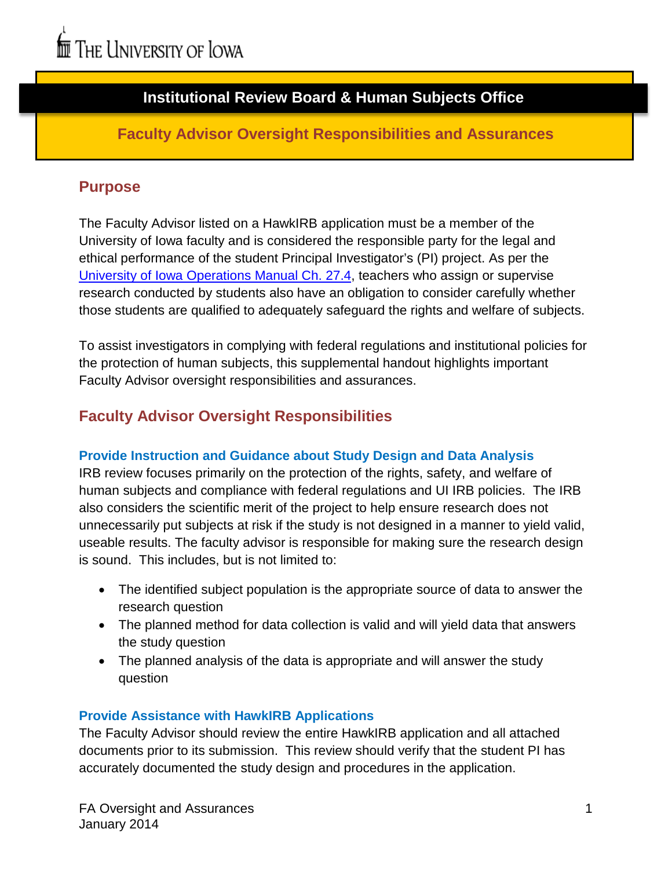# **Institutional Review Board & Human Subjects Office**

### **Faculty Advisor Oversight Responsibilities and Assurances**

### **Purpose**

The Faculty Advisor listed on a HawkIRB application must be a member of the University of Iowa faculty and is considered the responsible party for the legal and ethical performance of the student Principal Investigator's (PI) project. As per the [University of Iowa Operations Manual Ch. 27.4,](http://www.uiowa.edu/~our/opmanual/ii/27.htm#274) teachers who assign or supervise research conducted by students also have an obligation to consider carefully whether those students are qualified to adequately safeguard the rights and welfare of subjects.

To assist investigators in complying with federal regulations and institutional policies for the protection of human subjects, this supplemental handout highlights important Faculty Advisor oversight responsibilities and assurances.

# **Faculty Advisor Oversight Responsibilities**

#### **Provide Instruction and Guidance about Study Design and Data Analysis**

IRB review focuses primarily on the protection of the rights, safety, and welfare of human subjects and compliance with federal regulations and UI IRB policies. The IRB also considers the scientific merit of the project to help ensure research does not unnecessarily put subjects at risk if the study is not designed in a manner to yield valid, useable results. The faculty advisor is responsible for making sure the research design is sound. This includes, but is not limited to:

- The identified subject population is the appropriate source of data to answer the research question
- The planned method for data collection is valid and will yield data that answers the study question
- The planned analysis of the data is appropriate and will answer the study question

#### **Provide Assistance with HawkIRB Applications**

The Faculty Advisor should review the entire HawkIRB application and all attached documents prior to its submission. This review should verify that the student PI has accurately documented the study design and procedures in the application.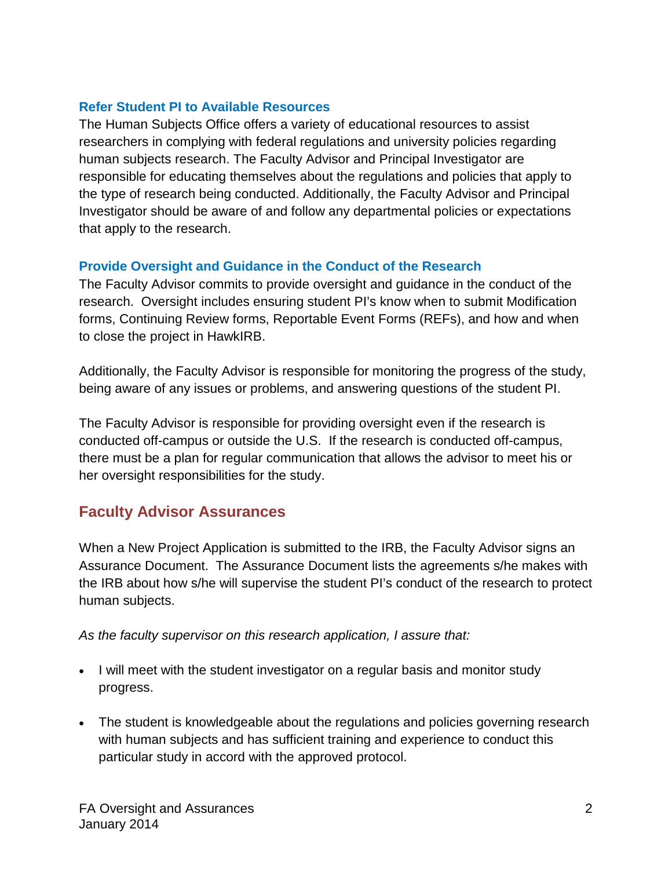#### **Refer Student PI to Available Resources**

The Human Subjects Office offers a variety of educational resources to assist researchers in complying with federal regulations and university policies regarding human subjects research. The Faculty Advisor and Principal Investigator are responsible for educating themselves about the regulations and policies that apply to the type of research being conducted. Additionally, the Faculty Advisor and Principal Investigator should be aware of and follow any departmental policies or expectations that apply to the research.

#### **Provide Oversight and Guidance in the Conduct of the Research**

The Faculty Advisor commits to provide oversight and guidance in the conduct of the research. Oversight includes ensuring student PI's know when to submit Modification forms, Continuing Review forms, Reportable Event Forms (REFs), and how and when to close the project in HawkIRB.

Additionally, the Faculty Advisor is responsible for monitoring the progress of the study, being aware of any issues or problems, and answering questions of the student PI.

The Faculty Advisor is responsible for providing oversight even if the research is conducted off-campus or outside the U.S. If the research is conducted off-campus, there must be a plan for regular communication that allows the advisor to meet his or her oversight responsibilities for the study.

# **Faculty Advisor Assurances**

When a New Project Application is submitted to the IRB, the Faculty Advisor signs an Assurance Document. The Assurance Document lists the agreements s/he makes with the IRB about how s/he will supervise the student PI's conduct of the research to protect human subjects.

*As the faculty supervisor on this research application, I assure that:*

- I will meet with the student investigator on a regular basis and monitor study progress.
- The student is knowledgeable about the regulations and policies governing research with human subjects and has sufficient training and experience to conduct this particular study in accord with the approved protocol.